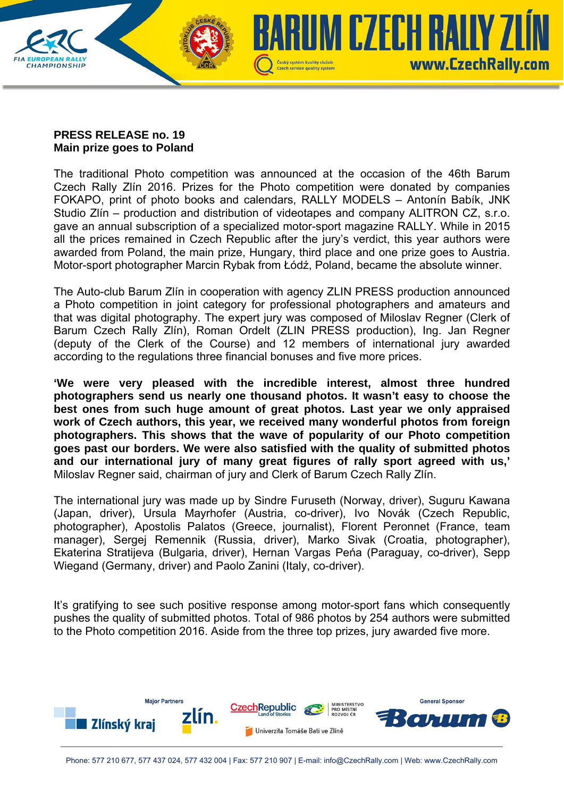

## **PRESS RELEASE no. 19 Main prize goes to Poland**

The traditional Photo competition was announced at the occasion of the 46th Barum Czech Rally Zlín 2016. Prizes for the Photo competition were donated by companies FOKAPO, print of photo books and calendars, RALLY MODELS – Antonín Babík, JNK Studio Zlín – production and distribution of videotapes and company ALITRON CZ, s.r.o. gave an annual subscription of a specialized motor-sport magazine RALLY. While in 2015 all the prices remained in Czech Republic after the jury's verdict, this year authors were awarded from Poland, the main prize, Hungary, third place and one prize goes to Austria. Motor-sport photographer Marcin Rybak from Łódź, Poland, became the absolute winner.

The Auto-club Barum Zlín in cooperation with agency ZLIN PRESS production announced a Photo competition in joint category for professional photographers and amateurs and that was digital photography. The expert jury was composed of Miloslav Regner (Clerk of Barum Czech Rally Zlín), Roman Ordelt (ZLIN PRESS production), Ing. Jan Regner (deputy of the Clerk of the Course) and 12 members of international jury awarded according to the regulations three financial bonuses and five more prices.

**'We were very pleased with the incredible interest, almost three hundred photographers send us nearly one thousand photos. It wasn't easy to choose the best ones from such huge amount of great photos. Last year we only appraised work of Czech authors, this year, we received many wonderful photos from foreign photographers. This shows that the wave of popularity of our Photo competition goes past our borders. We were also satisfied with the quality of submitted photos and our international jury of many great figures of rally sport agreed with us,'**  Miloslav Regner said, chairman of jury and Clerk of Barum Czech Rally Zlín.

The international jury was made up by Sindre Furuseth (Norway, driver), Suguru Kawana (Japan, driver), Ursula Mayrhofer (Austria, co-driver), Ivo Novák (Czech Republic, photographer), Apostolis Palatos (Greece, journalist), Florent Peronnet (France, team manager), Sergej Remennik (Russia, driver), Marko Sivak (Croatia, photographer), Ekaterina Stratijeva (Bulgaria, driver), Hernan Vargas Peńa (Paraguay, co-driver), Sepp Wiegand (Germany, driver) and Paolo Zanini (Italy, co-driver).

It's gratifying to see such positive response among motor-sport fans which consequently pushes the quality of submitted photos. Total of 986 photos by 254 authors were submitted to the Photo competition 2016. Aside from the three top prizes, jury awarded five more.